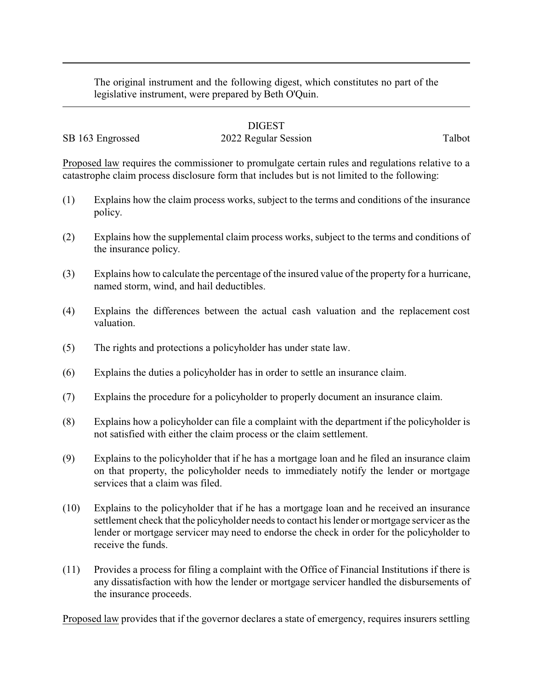The original instrument and the following digest, which constitutes no part of the legislative instrument, were prepared by Beth O'Quin.

## DIGEST

## SB 163 Engrossed 2022 Regular Session Talbot

Proposed law requires the commissioner to promulgate certain rules and regulations relative to a catastrophe claim process disclosure form that includes but is not limited to the following:

- (1) Explains how the claim process works, subject to the terms and conditions of the insurance policy.
- (2) Explains how the supplemental claim process works, subject to the terms and conditions of the insurance policy.
- (3) Explains how to calculate the percentage of the insured value of the property for a hurricane, named storm, wind, and hail deductibles.
- (4) Explains the differences between the actual cash valuation and the replacement cost valuation.
- (5) The rights and protections a policyholder has under state law.
- (6) Explains the duties a policyholder has in order to settle an insurance claim.
- (7) Explains the procedure for a policyholder to properly document an insurance claim.
- (8) Explains how a policyholder can file a complaint with the department if the policyholder is not satisfied with either the claim process or the claim settlement.
- (9) Explains to the policyholder that if he has a mortgage loan and he filed an insurance claim on that property, the policyholder needs to immediately notify the lender or mortgage services that a claim was filed.
- (10) Explains to the policyholder that if he has a mortgage loan and he received an insurance settlement check that the policyholder needs to contact his lender or mortgage servicer as the lender or mortgage servicer may need to endorse the check in order for the policyholder to receive the funds.
- (11) Provides a process for filing a complaint with the Office of Financial Institutions if there is any dissatisfaction with how the lender or mortgage servicer handled the disbursements of the insurance proceeds.

Proposed law provides that if the governor declares a state of emergency, requires insurers settling